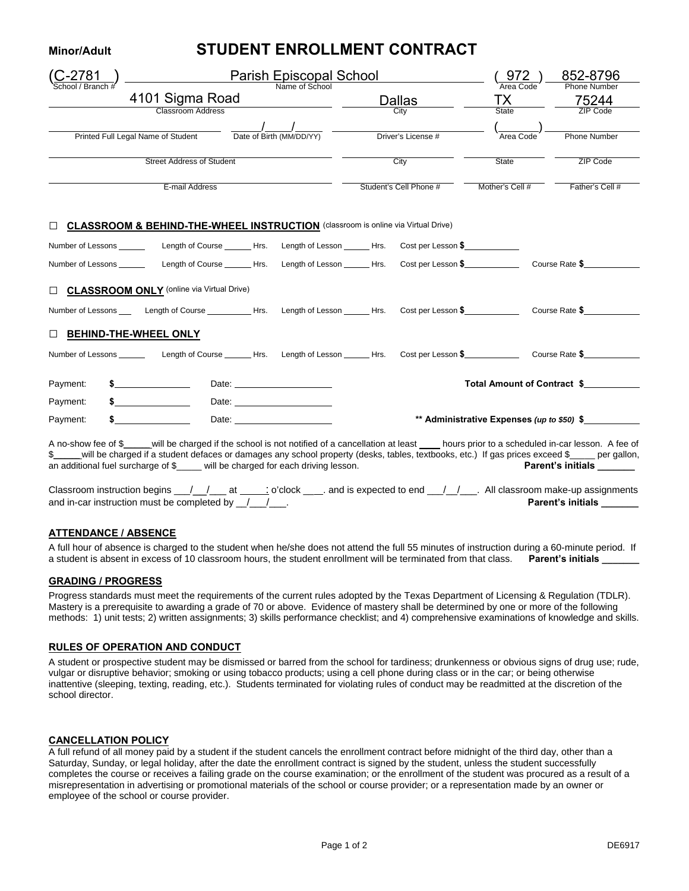## **Minor/Adult STUDENT ENROLLMENT CONTRACT**

|                                                                                                                                                                                                               |                                  |                           |                    |                                                        | 852-8796<br><b>Phone Number</b>            |
|---------------------------------------------------------------------------------------------------------------------------------------------------------------------------------------------------------------|----------------------------------|---------------------------|--------------------|--------------------------------------------------------|--------------------------------------------|
| 4101 Sigma Road<br><b>Classroom Address</b>                                                                                                                                                                   |                                  | <u>Dallas ___</u><br>City |                    | Area Code<br>$\frac{TX}{\text{State}}$                 | $\frac{75244}{ZIP\,\text{Code}}$           |
|                                                                                                                                                                                                               |                                  |                           | Driver's License # | (<br>Area Code                                         | <b>Phone Number</b>                        |
| Printed Full Legal Name of Student Date of Birth (MM/DD/YY)                                                                                                                                                   |                                  |                           |                    |                                                        |                                            |
| <b>Street Address of Student</b>                                                                                                                                                                              |                                  |                           | City               | State                                                  | ZIP Code                                   |
| E-mail Address                                                                                                                                                                                                |                                  |                           |                    | Student's Cell Phone # Mother's Cell # Father's Cell # |                                            |
| □ <b>CLASSROOM &amp; BEHIND-THE-WHEEL INSTRUCTION</b> (classroom is online via Virtual Drive)<br>Number of Lessons ___________ Length of Course _______ Hrs. Length of Lesson _______ Hrs. Cost per Lesson \$ |                                  |                           |                    |                                                        |                                            |
| Number of Lessons _________ Length of Course ______Hrs. Length of Lesson _____Hrs. Cost per Lesson \$ __________ Course Rate \$                                                                               |                                  |                           |                    |                                                        |                                            |
| CLASSROOM ONLY (online via Virtual Drive)                                                                                                                                                                     |                                  |                           |                    |                                                        |                                            |
| Number of Lessons ____ Length of Course ___________Hrs. Length of Lesson ______Hrs. Cost per Lesson \$_____________ Course Rate \$____________                                                                |                                  |                           |                    |                                                        |                                            |
| <b>DEHIND-THE-WHEEL ONLY</b><br>Number of Lessons ________ Length of Course _______ Hrs. Length of Lesson ______ Hrs. Cost per Lesson \$_____________ Course Rate \$____________                              |                                  |                           |                    |                                                        |                                            |
|                                                                                                                                                                                                               |                                  |                           |                    |                                                        |                                            |
| $\frac{1}{2}$<br>Payment:                                                                                                                                                                                     |                                  |                           |                    |                                                        | Total Amount of Contract \$                |
| Payment:                                                                                                                                                                                                      | Date: _________________________  |                           |                    |                                                        |                                            |
| Payment:                                                                                                                                                                                                      | Date: <u>___________________</u> |                           |                    |                                                        | ** Administrative Expenses (up to \$50) \$ |

A no-show fee of \$\_\_\_\_\_ will be charged if the school is not notified of a cancellation at least \_\_\_\_ hours prior to a scheduled in-car lesson. A fee of \$\_\_\_\_ will be charged if a student defaces or damages any school prop  $$$  will be charged if a student defaces or damages any school property (desks, tables, textbooks, etc.) If gas prices exceed \$\_ an additional fuel surcharge of \$\_\_\_\_\_ will be charged for each driving lesson. **Parent's initials Parent's initials** 

| Classroom instruction begins __/__/__at ____; o'clock ___. and is expected to end __/_/___. All classroom make-up assignments |  |                          |
|-------------------------------------------------------------------------------------------------------------------------------|--|--------------------------|
| and in-car instruction must be completed by $\left/ \right/$                                                                  |  | <b>Parent's initials</b> |

## **ATTENDANCE / ABSENCE**

A full hour of absence is charged to the student when he/she does not attend the full 55 minutes of instruction during a 60-minute period. If a student is absent in excess of 10 classroom hours, the student enrollment will be terminated from that class. Parent's initials

#### **GRADING / PROGRESS**

Progress standards must meet the requirements of the current rules adopted by the Texas Department of Licensing & Regulation (TDLR). Mastery is a prerequisite to awarding a grade of 70 or above. Evidence of mastery shall be determined by one or more of the following methods: 1) unit tests; 2) written assignments; 3) skills performance checklist; and 4) comprehensive examinations of knowledge and skills.

#### **RULES OF OPERATION AND CONDUCT**

A student or prospective student may be dismissed or barred from the school for tardiness; drunkenness or obvious signs of drug use; rude, vulgar or disruptive behavior; smoking or using tobacco products; using a cell phone during class or in the car; or being otherwise inattentive (sleeping, texting, reading, etc.). Students terminated for violating rules of conduct may be readmitted at the discretion of the school director.

#### **CANCELLATION POLICY**

A full refund of all money paid by a student if the student cancels the enrollment contract before midnight of the third day, other than a Saturday, Sunday, or legal holiday, after the date the enrollment contract is signed by the student, unless the student successfully completes the course or receives a failing grade on the course examination; or the enrollment of the student was procured as a result of a misrepresentation in advertising or promotional materials of the school or course provider; or a representation made by an owner or employee of the school or course provider.